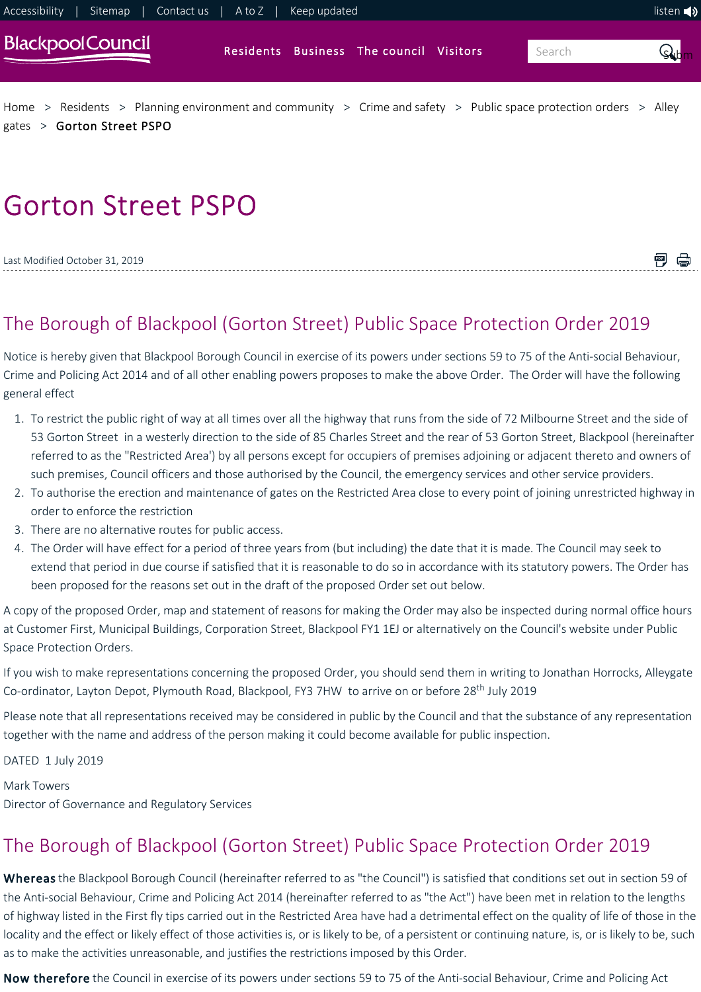

# Gorton Street PSPO

| Last Modified October 31, 2019 |  |
|--------------------------------|--|
|                                |  |

# The Borough of Blackpool (Gorton Street) Public Space Protection Order 2019

Notice is hereby given that Blackpool Borough Council in exercise of its powers under sections 59 to 75 of the Anti‐social Behaviour, Crime and Policing Act 2014 and of all other enabling powers proposes to make the above Order. The Order will have the following general effect

- 1. To restrict the public right of way at all times over all the highway that runs from the side of 72 Milbourne Street and the side of 53 Gorton Street in a westerly direction to the side of 85 Charles Street and the rear of 53 Gorton Street, Blackpool (hereinafter referred to as the "Restricted Area') by all persons except for occupiers of premises adjoining or adjacent thereto and owners of such premises, Council officers and those authorised by the Council, the emergency services and other service providers.
- 2. To authorise the erection and maintenance of gates on the Restricted Area close to every point of joining unrestricted highway in order to enforce the restriction
- 3. There are no alternative routes for public access.
- 4. The Order will have effect for a period of three years from (but including) the date that it is made. The Council may seek to extend that period in due course if satisfied that it is reasonable to do so in accordance with its statutory powers. The Order has been proposed for the reasons set out in the draft of the proposed Order set out below.

A copy of the proposed Order, map and statement of reasons for making the Order may also be inspected during normal office hours at Customer First, Municipal Buildings, Corporation Street, Blackpool FY1 1EJ or alternatively on the Council's website under Public Space Protection Orders.

If you wish to make representations concerning the proposed Order, you should send them in writing to Jonathan Horrocks, Alleygate Co-ordinator, Layton Depot, Plymouth Road, Blackpool, FY3 7HW to arrive on or before 28<sup>th</sup> July 2019

Please note that all representations received may be considered in public by the Council and that the substance of any representation together with the name and address of the person making it could become available for public inspection.

DATED 1 July 2019

Mark Towers Director of Governance and Regulatory Services

# The Borough of Blackpool (Gorton Street) Public Space Protection Order 2019

Whereas the Blackpool Borough Council (hereinafter referred to as "the Council") is satisfied that conditions set out in section 59 of the Anti-social Behaviour, Crime and Policing Act 2014 (hereinafter referred to as "the Act") have been met in relation to the lengths of highway listed in the First fly tips carried out in the Restricted Area have had a detrimental effect on the quality of life of those in the locality and the effect or likely effect of those activities is, or is likely to be, of a persistent or continuing nature, is, or is likely to be, such as to make the activities unreasonable, and justifies the restrictions imposed by this Order.

Now therefore the Council in exercise of its powers under sections 59 to 75 of the Anti-social Behaviour, Crime and Policing Act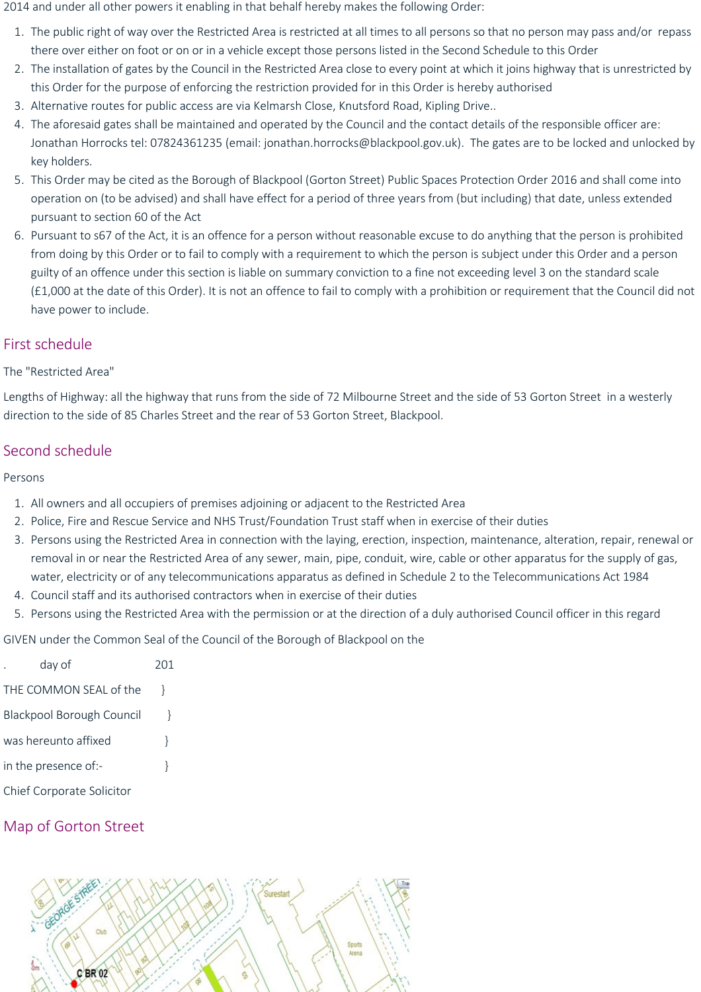2014 and under all other powers it enabling in that behalf hereby makes the following Order:

- 1. The public right of way over the Restricted Area is restricted at all times to all persons so that no person may pass and/or repass there over either on foot or on or in a vehicle except those persons listed in the Second Schedule to this Order
- 2. The installation of gates by the Council in the Restricted Area close to every point at which it joins highway that is unrestricted by this Order for the purpose of enforcing the restriction provided for in this Order is hereby authorised
- 3. Alternative routes for public access are via Kelmarsh Close, Knutsford Road, Kipling Drive..
- 4. The aforesaid gates shall be maintained and operated by the Council and the contact details of the responsible officer are: Jonathan Horrocks tel: 07824361235 (email: jonathan.horrocks@blackpool.gov.uk). The gates are to be locked and unlocked by key holders.
- 5. This Order may be cited as the Borough of Blackpool (Gorton Street) Public Spaces Protection Order 2016 and shall come into operation on (to be advised) and shall have effect for a period of three years from (but including) that date, unless extended pursuant to section 60 of the Act
- 6. Pursuant to s67 of the Act, it is an offence for a person without reasonable excuse to do anything that the person is prohibited from doing by this Order or to fail to comply with a requirement to which the person is subject under this Order and a person guilty of an offence under this section is liable on summary conviction to a fine not exceeding level 3 on the standard scale (£1,000 at the date of this Order). It is not an offence to fail to comply with a prohibition or requirement that the Council did not have power to include.

## First schedule

#### The "Restricted Area"

Lengths of Highway: all the highway that runs from the side of 72 Milbourne Street and the side of 53 Gorton Street in a westerly direction to the side of 85 Charles Street and the rear of 53 Gorton Street, Blackpool.

## Second schedule

Persons

- 1. All owners and all occupiers of premises adjoining or adjacent to the Restricted Area
- 2. Police, Fire and Rescue Service and NHS Trust/Foundation Trust staff when in exercise of their duties
- 3. Persons using the Restricted Area in connection with the laying, erection, inspection, maintenance, alteration, repair, renewal or removal in or near the Restricted Area of any sewer, main, pipe, conduit, wire, cable or other apparatus for the supply of gas, water, electricity or of any telecommunications apparatus as defined in Schedule 2 to the Telecommunications Act 1984
- 4. Council staff and its authorised contractors when in exercise of their duties
- 5. Persons using the Restricted Area with the permission or at the direction of a duly authorised Council officer in this regard

GIVEN under the Common Seal of the Council of the Borough of Blackpool on the

| day of                           | 201 |
|----------------------------------|-----|
| THE COMMON SEAL of the           |     |
| <b>Blackpool Borough Council</b> |     |
| was hereunto affixed             | ł   |
| in the presence of:-             | ł   |
| Chief Corporate Solicitor        |     |

# Map of Gorton Street